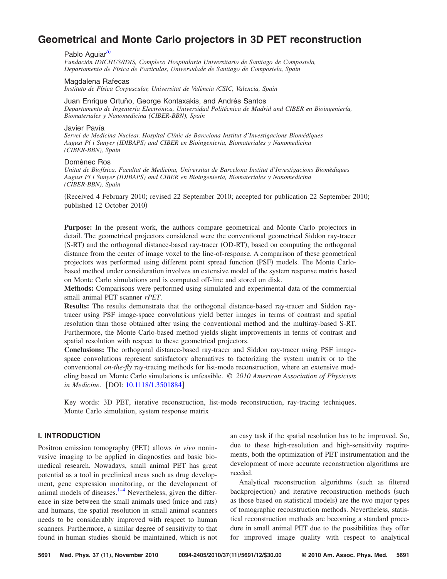# **[Geometrical and Monte Carlo projectors in 3D PET reconstruction](http://dx.doi.org/10.1118/1.3501884)**

#### Pablo Aguiar<sup>a)</sup>

*Fundación IDICHUS/IDIS, Complexo Hospitalario Universitario de Santiago de Compostela, Departamento de Física de Partículas, Universidade de Santiago de Compostela, Spain*

#### Magdalena Rafecas

*Instituto de Física Corpuscular, Universitat de València /CSIC, Valencia, Spain*

Juan Enrique Ortuño, George Kontaxakis, and Andrés Santos *Departamento de Ingeniería Electrónica, Universidad Politécnica de Madrid and CIBER en Bioingeniería, Biomateriales y Nanomedicina (CIBER-BBN), Spain*

# Javier Pavía

*Servei de Medicina Nuclear, Hospital Clínic de Barcelona Institut d'Investigacions Biomédiques August Pí i Sunyer (IDIBAPS) and CIBER en Bioingeniería, Biomateriales y Nanomedicina (CIBER-BBN), Spain*

## Domènec Ros

*Unitat de Biofísica, Facultat de Medicina, Universitat de Barcelona Institut d'Investigacions Biomèdiques August Pí i Sunyer (IDIBAPS) and CIBER en Bioingeniería, Biomateriales y Nanomedicina (CIBER-BBN), Spain*

Received 4 February 2010; revised 22 September 2010; accepted for publication 22 September 2010; published 12 October 2010)

**Purpose:** In the present work, the authors compare geometrical and Monte Carlo projectors in detail. The geometrical projectors considered were the conventional geometrical Siddon ray-tracer (S-RT) and the orthogonal distance-based ray-tracer (OD-RT), based on computing the orthogonal distance from the center of image voxel to the line-of-response. A comparison of these geometrical projectors was performed using different point spread function (PSF) models. The Monte Carlobased method under consideration involves an extensive model of the system response matrix based on Monte Carlo simulations and is computed off-line and stored on disk.

**Methods:** Comparisons were performed using simulated and experimental data of the commercial small animal PET scanner *rPET*.

**Results:** The results demonstrate that the orthogonal distance-based ray-tracer and Siddon raytracer using PSF image-space convolutions yield better images in terms of contrast and spatial resolution than those obtained after using the conventional method and the multiray-based S-RT. Furthermore, the Monte Carlo-based method yields slight improvements in terms of contrast and spatial resolution with respect to these geometrical projectors.

**Conclusions:** The orthogonal distance-based ray-tracer and Siddon ray-tracer using PSF imagespace convolutions represent satisfactory alternatives to factorizing the system matrix or to the conventional *on-the-fly* ray-tracing methods for list-mode reconstruction, where an extensive modeling based on Monte Carlo simulations is unfeasible. © *2010 American Association of Physicists in Medicine.* [DOI: [10.1118/1.3501884](http://dx.doi.org/10.1118/1.3501884)]

Key words: 3D PET, iterative reconstruction, list-mode reconstruction, ray-tracing techniques, Monte Carlo simulation, system response matrix

# **I. INTRODUCTION**

Positron emission tomography (PET) allows in vivo noninvasive imaging to be applied in diagnostics and basic biomedical research. Nowadays, small animal PET has great potential as a tool in preclinical areas such as drug development, gene expression monitoring, or the development of animal models of diseases. $1-4$  Nevertheless, given the difference in size between the small animals used (mice and rats) and humans, the spatial resolution in small animal scanners needs to be considerably improved with respect to human scanners. Furthermore, a similar degree of sensitivity to that found in human studies should be maintained, which is not

an easy task if the spatial resolution has to be improved. So, due to these high-resolution and high-sensitivity requirements, both the optimization of PET instrumentation and the development of more accurate reconstruction algorithms are needed.

Analytical reconstruction algorithms (such as filtered backprojection) and iterative reconstruction methods (such as those based on statistical models) are the two major types of tomographic reconstruction methods. Nevertheless, statistical reconstruction methods are becoming a standard procedure in small animal PET due to the possibilities they offer for improved image quality with respect to analytical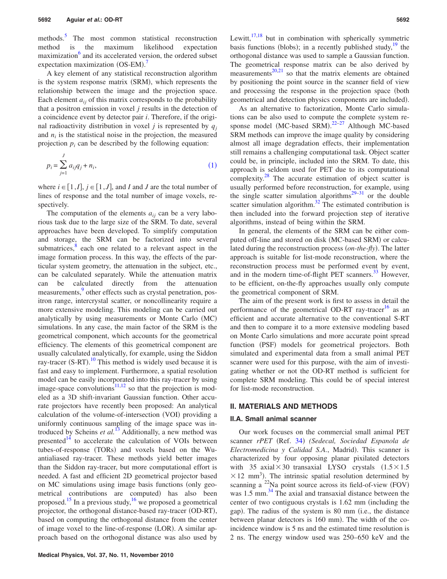methods.<sup>5</sup> The most common statistical reconstruction method is the maximum likelihood expectation maximization<sup>6</sup> and its accelerated version, the ordered subset expectation maximization (OS-EM).<sup>[7](#page-10-5)</sup>

A key element of any statistical reconstruction algorithm is the system response matrix (SRM), which represents the relationship between the image and the projection space. Each element  $a_{ij}$  of this matrix corresponds to the probability that a positron emission in voxel *j* results in the detection of a coincidence event by detector pair *i*. Therefore, if the original radioactivity distribution in voxel *j* is represented by  $q<sub>i</sub>$ and  $n_i$  is the statistical noise in the projection, the measured projection  $p_i$  can be described by the following equation:

<span id="page-1-0"></span>
$$
p_i = \sum_{j=1}^{J} a_{ij} q_j + n_i,
$$
\n(1)

where  $i \in [1, I], j \in [1, J]$ , and *I* and *J* are the total number of lines of response and the total number of image voxels, respectively.

The computation of the elements  $a_{ij}$  can be a very laborious task due to the large size of the SRM. To date, several approaches have been developed. To simplify computation and storage, the SRM can be factorized into several submatrices, $\frac{8}{3}$  each one related to a relevant aspect in the image formation process. In this way, the effects of the particular system geometry, the attenuation in the subject, etc., can be calculated separately. While the attenuation matrix can be calculated directly from the attenuation measurements,<sup>9</sup> other effects such as crystal penetration, positron range, intercrystal scatter, or noncollinearity require a more extensive modeling. This modeling can be carried out analytically by using measurements or Monte Carlo (MC) simulations. In any case, the main factor of the SRM is the geometrical component, which accounts for the geometrical efficiency. The elements of this geometrical component are usually calculated analytically, for example, using the Siddon ray-tracer (S-RT).<sup>[10](#page-10-8)</sup> This method is widely used because it is fast and easy to implement. Furthermore, a spatial resolution model can be easily incorporated into this ray-tracer by using image-space convolutions<sup>11[,12](#page-10-10)</sup> so that the projection is modeled as a 3D shift-invariant Gaussian function. Other accurate projectors have recently been proposed: An analytical calculation of the volume-of-intersection (VOI) providing a uniformly continuous sampling of the image space was introduced by Scheins *et al.*<sup>[13](#page-11-0)</sup> Additionally, a new method was presented $14$  to accelerate the calculation of VOIs between tubes-of-response (TORs) and voxels based on the Wuantialiased ray-tracer. These methods yield better images than the Siddon ray-tracer, but more computational effort is needed. A fast and efficient 2D geometrical projector based on MC simulations using image basis functions (only geometrical contributions are computed) has also been proposed.<sup>15</sup> In a previous study,<sup>16</sup> we proposed a geometrical projector, the orthogonal distance-based ray-tracer (OD-RT), based on computing the orthogonal distance from the center of image voxel to the line-of-response (LOR). A similar approach based on the orthogonal distance was also used by Lewitt, $17,18$  $17,18$  but in combination with spherically symmetric basis functions (blobs); in a recently published study, $\frac{19}{19}$  the orthogonal distance was used to sample a Gaussian function. The geometrical response matrix can be also derived by measurements $^{20,21}$  $^{20,21}$  $^{20,21}$  so that the matrix elements are obtained by positioning the point source in the scanner field of view and processing the response in the projection space (both geometrical and detection physics components are included).

As an alternative to factorization, Monte Carlo simulations can be also used to compute the complete system re-sponse model (MC-based SRM).<sup>22-[27](#page-11-10)</sup> Although MC-based SRM methods can improve the image quality by considering almost all image degradation effects, their implementation still remains a challenging computational task. Object scatter could be, in principle, included into the SRM. To date, this approach is seldom used for PET due to its computational complexity. $\frac{28}{10}$  The accurate estimation of object scatter is usually performed before reconstruction, for example, using the single scatter simulation algorithms<sup>29[–31](#page-11-13)</sup> or the double scatter simulation algorithm.<sup>32</sup> The estimated contribution is then included into the forward projection step of iterative algorithms, instead of being within the SRM.

In general, the elements of the SRM can be either computed off-line and stored on disk (MC-based SRM) or calculated during the reconstruction process (on-the-fly). The latter approach is suitable for list-mode reconstruction, where the reconstruction process must be performed event by event, and in the modern time-of-flight PET scanners.<sup>33</sup> However, to be efficient, on-the-fly approaches usually only compute the geometrical component of SRM.

The aim of the present work is first to assess in detail the performance of the geometrical OD-RT ray-tracer<sup>16</sup> as an efficient and accurate alternative to the conventional S-RT and then to compare it to a more extensive modeling based on Monte Carlo simulations and more accurate point spread function (PSF) models for geometrical projectors. Both simulated and experimental data from a small animal PET scanner were used for this purpose, with the aim of investigating whether or not the OD-RT method is sufficient for complete SRM modeling. This could be of special interest for list-mode reconstruction.

#### **II. MATERIALS AND METHODS**

#### **II.A. Small animal scanner**

Our work focuses on the commercial small animal PET scanner rPET (Ref. [34](#page-11-16)) (Sedecal, Sociedad Espanola de Electromedicina y Calidad S.A., Madrid). This scanner is characterized by four opposing planar pixilated detectors with 35 axial $\times$ 30 transaxial LYSO crystals  $(1.5\times1.5$  $\times$  12 mm<sup>3</sup>). The intrinsic spatial resolution determined by scanning a  $^{22}$ Na point source across its field-of-view (FOV) was 1.5 mm.<sup>34</sup> The axial and transaxial distance between the center of two contiguous crystals is  $1.62$  mm (including the gap). The radius of the system is 80 mm (i.e., the distance between planar detectors is 160 mm). The width of the coincidence window is 5 ns and the estimated time resolution is 2 ns. The energy window used was 250–650 keV and the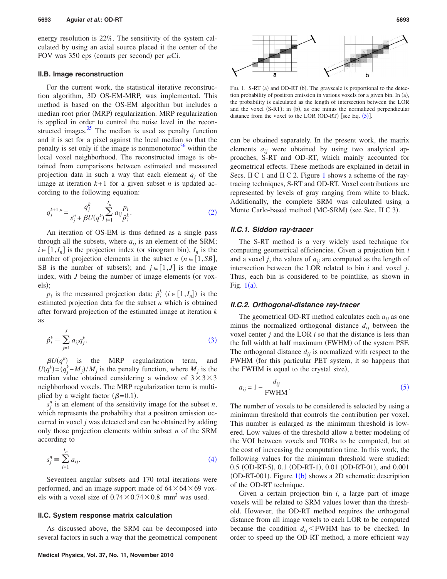energy resolution is 22%. The sensitivity of the system calculated by using an axial source placed it the center of the FOV was 350 cps (counts per second) per  $\mu$ Ci.

#### **II.B. Image reconstruction**

For the current work, the statistical iterative reconstruction algorithm, 3D OS-EM-MRP, was implemented. This method is based on the OS-EM algorithm but includes a median root prior (MRP) regularization. MRP regularization is applied in order to control the noise level in the reconstructed images. $35$  The median is used as penalty function and it is set for a pixel against the local median so that the penalty is set only if the image is nonmonotonic<sup>36</sup> within the local voxel neighborhood. The reconstructed image is obtained from comparisons between estimated and measured projection data in such a way that each element  $q_i$  of the image at iteration  $k+1$  for a given subset *n* is updated according to the following equation:

<span id="page-2-0"></span>
$$
q_j^{k+1,n} = \frac{q_j^k}{s_j^n + \beta U(q^k)} \sum_{i=1}^{I_n} a_{ij} \frac{p_i}{\hat{\rho}_i^k}.
$$
 (2)

An iteration of OS-EM is thus defined as a single pass through all the subsets, where  $a_{ij}$  is an element of the SRM;  $i \in [1, I_n]$  is the projection index (or sinogram bin),  $I_n$  is the number of projection elements in the subset  $n (n \in [1, SB],$ SB is the number of subsets); and  $j \in [1, J]$  is the image index, with  $J$  being the number of image elements (or voxels);

*p<sub>i</sub>* is the measured projection data;  $\hat{p}_i^k$  ( $i \in [1, I_n]$ ) is the estimated projection data for the subset *n* which is obtained after forward projection of the estimated image at iteration *k* as

<span id="page-2-1"></span>
$$
\hat{p}_i^k \equiv \sum_{j=1}^J a_{ij} q_j^k. \tag{3}
$$

 $\beta U(q^k)$  is the MRP regularization term, and  $U(q^k) = (q_j^k - M_j)/M_j$  is the penalty function, where  $M_j$  is the median value obtained considering a window of  $3 \times 3 \times 3$ neighborhood voxels. The MRP regularization term is multiplied by a weight factor  $(\beta=0.1)$ .

 $s_j^n$  is an element of the sensitivity image for the subset *n*, which represents the probability that a positron emission occurred in voxel *j* was detected and can be obtained by adding only those projection elements within subset *n* of the SRM according to

<span id="page-2-2"></span>
$$
s_j^n \equiv \sum_{i=1}^{I_n} a_{ij}.
$$
 (4)

Seventeen angular subsets and 170 total iterations were performed, and an image support made of  $64 \times 64 \times 69$  voxels with a voxel size of  $0.74 \times 0.74 \times 0.8$  mm<sup>3</sup> was used.

#### **II.C. System response matrix calculation**

As discussed above, the SRM can be decomposed into several factors in such a way that the geometrical component



<span id="page-2-3"></span>

FIG. 1. S-RT (a) and OD-RT (b). The grayscale is proportional to the detection probability of positron emission in various voxels for a given bin. In (a), the probability is calculated as the length of intersection between the LOR and the voxel (S-RT); in (b), as one minus the normalized perpendicular distance from the voxel to the LOR (OD-RT) [see Eq.  $(5)$  $(5)$  $(5)$ ].

can be obtained separately. In the present work, the matrix elements  $a_{ij}$  were obtained by using two analytical approaches, S-RT and OD-RT, which mainly accounted for geometrical effects. These methods are explained in detail in Secs. II C [1](#page-2-3) and II C 2. Figure 1 shows a scheme of the raytracing techniques, S-RT and OD-RT. Voxel contributions are represented by levels of gray ranging from white to black. Additionally, the complete SRM was calculated using a Monte Carlo-based method (MC-SRM) (see Sec. II C 3).

## *II.C.1. Siddon ray-tracer*

The S-RT method is a very widely used technique for computing geometrical efficiencies. Given a projection bin *i* and a voxel  $j$ , the values of  $a_{ij}$  are computed as the length of intersection between the LOR related to bin *i* and voxel *j*. Thus, each bin is considered to be pointlike, as shown in Fig.  $1(a)$  $1(a)$ .

## *II.C.2. Orthogonal-distance ray-tracer*

The geometrical OD-RT method calculates each  $a_{ij}$  as one minus the normalized orthogonal distance  $d_{ij}$  between the voxel center *j* and the LOR *i* so that the distance is less than the full width at half maximum (FWHM) of the system PSF. The orthogonal distance  $d_{ij}$  is normalized with respect to the FWHM (for this particular PET system, it so happens that the FWHM is equal to the crystal size),

<span id="page-2-4"></span>
$$
a_{ij} = 1 - \frac{d_{ij}}{\text{FWHM}}.\tag{5}
$$

The number of voxels to be considered is selected by using a minimum threshold that controls the contribution per voxel. This number is enlarged as the minimum threshold is lowered. Low values of the threshold allow a better modeling of the VOI between voxels and TORs to be computed, but at the cost of increasing the computation time. In this work, the following values for the minimum threshold were studied: 0.5 (OD-RT-5), 0.1 (OD-RT-1), 0.01 (OD-RT-01), and 0.001 (OD-RT-00[1](#page-2-3)). Figure  $1(b)$  shows a 2D schematic description of the OD-RT technique.

Given a certain projection bin *i*, a large part of image voxels will be related to SRM values lower than the threshold. However, the OD-RT method requires the orthogonal distance from all image voxels to each LOR to be computed because the condition  $d_{ij}$ FWHM has to be checked. In order to speed up the OD-RT method, a more efficient way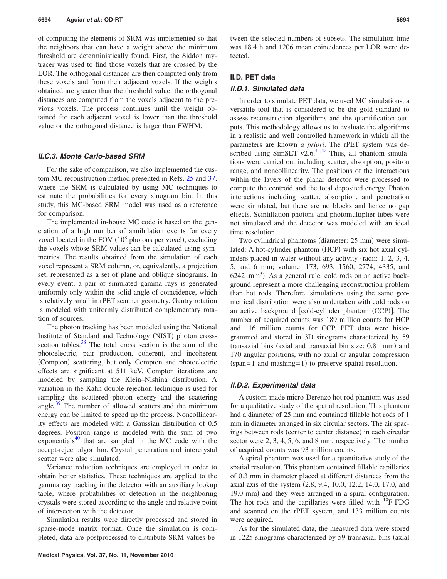of computing the elements of SRM was implemented so that the neighbors that can have a weight above the minimum threshold are deterministically found. First, the Siddon raytracer was used to find those voxels that are crossed by the LOR. The orthogonal distances are then computed only from these voxels and from their adjacent voxels. If the weights obtained are greater than the threshold value, the orthogonal distances are computed from the voxels adjacent to the previous voxels. The process continues until the weight obtained for each adjacent voxel is lower than the threshold value or the orthogonal distance is larger than FWHM.

### *II.C.3. Monte Carlo-based SRM*

For the sake of comparison, we also implemented the custom MC reconstruction method presented in Refs. [25](#page-11-19) and [37,](#page-11-20) where the SRM is calculated by using MC techniques to estimate the probabilities for every sinogram bin. In this study, this MC-based SRM model was used as a reference for comparison.

The implemented in-house MC code is based on the generation of a high number of annihilation events for every voxel located in the FOV  $(10^8$  photons per voxel), excluding the voxels whose SRM values can be calculated using symmetries. The results obtained from the simulation of each voxel represent a SRM column, or, equivalently, a projection set, represented as a set of plane and oblique sinograms. In every event, a pair of simulated gamma rays is generated uniformly only within the solid angle of coincidence, which is relatively small in rPET scanner geometry. Gantry rotation is modeled with uniformly distributed complementary rotation of sources.

The photon tracking has been modeled using the National Institute of Standard and Technology (NIST) photon crosssection tables. $38$  The total cross section is the sum of the photoelectric, pair production, coherent, and incoherent (Compton) scattering, but only Compton and photoelectric effects are significant at 511 keV. Compton iterations are modeled by sampling the Klein–Nishina distribution. A variation in the Kahn double-rejection technique is used for sampling the scattered photon energy and the scattering angle. $39$  The number of allowed scatters and the minimum energy can be limited to speed up the process. Noncollinearity effects are modeled with a Gaussian distribution of 0.5 degrees. Positron range is modeled with the sum of two exponentials $40$  that are sampled in the MC code with the accept-reject algorithm. Crystal penetration and intercrystal scatter were also simulated.

Variance reduction techniques are employed in order to obtain better statistics. These techniques are applied to the gamma ray tracking in the detector with an auxiliary lookup table, where probabilities of detection in the neighboring crystals were stored according to the angle and relative point of intersection with the detector.

Simulation results were directly processed and stored in sparse-mode matrix format. Once the simulation is completed, data are postprocessed to distribute SRM values be-

tween the selected numbers of subsets. The simulation time was 18.4 h and 1206 mean coincidences per LOR were detected.

#### **II.D. PET data**

## *II.D.1. Simulated data*

In order to simulate PET data, we used MC simulations, a versatile tool that is considered to be the gold standard to assess reconstruction algorithms and the quantification outputs. This methodology allows us to evaluate the algorithms in a realistic and well controlled framework in which all the parameters are known *a priori*. The rPET system was described using SimSET v2.6. $41,42$  $41,42$  Thus, all phantom simulations were carried out including scatter, absorption, positron range, and noncollinearity. The positions of the interactions within the layers of the planar detector were processed to compute the centroid and the total deposited energy. Photon interactions including scatter, absorption, and penetration were simulated, but there are no blocks and hence no gap effects. Scintillation photons and photomultiplier tubes were not simulated and the detector was modeled with an ideal time resolution.

Two cylindrical phantoms (diameter: 25 mm) were simulated: A hot-cylinder phantom (HCP) with six hot axial cylinders placed in water without any activity (radii:  $1, 2, 3, 4$ , 5, and 6 mm; volume: 173, 693, 1560, 2774, 4335, and  $6242$  mm<sup>3</sup>). As a general rule, cold rods on an active background represent a more challenging reconstruction problem than hot rods. Therefore, simulations using the same geometrical distribution were also undertaken with cold rods on an active background [cold-cylinder phantom (CCP)]. The number of acquired counts was 189 million counts for HCP and 116 million counts for CCP. PET data were histogrammed and stored in 3D sinograms characterized by 59 transaxial bins (axial and transaxial bin size: 0.81 mm) and 170 angular positions, with no axial or angular compression  $(span = 1$  and mashing = 1) to preserve spatial resolution.

## *II.D.2. Experimental data*

A custom-made micro-Derenzo hot rod phantom was used for a qualitative study of the spatial resolution. This phantom had a diameter of 25 mm and contained fillable hot rods of 1 mm in diameter arranged in six circular sectors. The air spacings between rods (center to center distance) in each circular sector were 2, 3, 4, 5, 6, and 8 mm, respectively. The number of acquired counts was 93 million counts.

A spiral phantom was used for a quantitative study of the spatial resolution. This phantom contained fillable capillaries of 0.3 mm in diameter placed at different distances from the axial axis of the system 2.8, 9.4, 10.0, 12.2, 14.0, 17.0, and 19.0 mm) and they were arranged in a spiral configuration. The hot rods and the capillaries were filled with  $^{18}$ F-FDG and scanned on the rPET system, and 133 million counts were acquired.

As for the simulated data, the measured data were stored in 1225 sinograms characterized by 59 transaxial bins (axial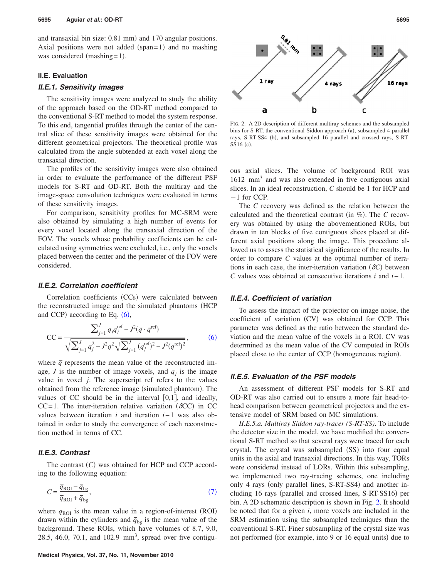and transaxial bin size: 0.81 mm) and 170 angular positions. Axial positions were not added (span=1) and no mashing was considered (mashing=1).

## **II.E. Evaluation**

## *II.E.1. Sensitivity images*

The sensitivity images were analyzed to study the ability of the approach based on the OD-RT method compared to the conventional S-RT method to model the system response. To this end, tangential profiles through the center of the central slice of these sensitivity images were obtained for the different geometrical projectors. The theoretical profile was calculated from the angle subtended at each voxel along the transaxial direction.

The profiles of the sensitivity images were also obtained in order to evaluate the performance of the different PSF models for S-RT and OD-RT. Both the multiray and the image-space convolution techniques were evaluated in terms of these sensitivity images.

For comparison, sensitivity profiles for MC-SRM were also obtained by simulating a high number of events for every voxel located along the transaxial direction of the FOV. The voxels whose probability coefficients can be calculated using symmetries were excluded, i.e., only the voxels placed between the center and the perimeter of the FOV were considered.

## *II.E.2. Correlation coefficient*

Correlation coefficients (CCs) were calculated between the reconstructed image and the simulated phantoms (HCP) and CCP) according to Eq.  $(6)$  $(6)$  $(6)$ ,

<span id="page-4-0"></span>
$$
CC = \frac{\sum_{j=1}^{J} q_j q_j^{\text{ref}} - J^2 (\bar{q} \cdot \bar{q}^{\text{ref}})}{\sqrt{\sum_{j=1}^{J} q_j^2 - J^2 \bar{q}^2} \sqrt{\sum_{j=1}^{J} (q_j^{\text{ref}})^2 - J^2 (\bar{q}^{\text{ref}})^2}},
$$
(6)

where  $\bar{q}$  represents the mean value of the reconstructed image, *J* is the number of image voxels, and  $q_i$  is the image value in voxel *j*. The superscript ref refers to the values obtained from the reference image (simulated phantom). The values of CC should be in the interval  $[0,1]$ , and ideally, CC=1. The inter-iteration relative variation ( $\delta$ CC) in CC values between iteration *i* and iteration *i*−1 was also obtained in order to study the convergence of each reconstruction method in terms of CC.

#### *II.E.3. Contrast*

The contrast (C) was obtained for HCP and CCP according to the following equation:

<span id="page-4-1"></span>
$$
C = \frac{\overline{q}_{\text{ROI}} - \overline{q}_{\text{bg}}}{\overline{q}_{\text{ROI}} + \overline{q}_{\text{bg}}},\tag{7}
$$

where  $\bar{q}_{\text{ROI}}$  is the mean value in a region-of-interest (ROI) drawn within the cylinders and  $\bar{q}_{bg}$  is the mean value of the background. These ROIs, which have volumes of 8.7, 9.0, 28.5, 46.0, 70.1, and  $102.9$  mm<sup>3</sup>, spread over five contigu-

<span id="page-4-2"></span>

FIG. 2. A 2D description of different multiray schemes and the subsampled bins for S-RT, the conventional Siddon approach (a), subsampled 4 parallel rays, S-RT-SS4 (b), and subsampled 16 parallel and crossed rays, S-RT-SS16 (c).

ous axial slices. The volume of background ROI was  $1612 \text{ mm}^3$  and was also extended in five contiguous axial slices. In an ideal reconstruction, *C* should be 1 for HCP and  $-1$  for CCP.

The *C* recovery was defined as the relation between the calculated and the theoretical contrast (in %). The C recovery was obtained by using the abovementioned ROIs, but drawn in ten blocks of five contiguous slices placed at different axial positions along the image. This procedure allowed us to assess the statistical significance of the results. In order to compare *C* values at the optimal number of iterations in each case, the inter-iteration variation  $(\delta C)$  between *C* values was obtained at consecutive iterations *i* and *i*−1.

#### *II.E.4. Coefficient of variation*

To assess the impact of the projector on image noise, the coefficient of variation (CV) was obtained for CCP. This parameter was defined as the ratio between the standard deviation and the mean value of the voxels in a ROI. CV was determined as the mean value of the CV computed in ROIs placed close to the center of CCP (homogeneous region).

## *II.E.5. Evaluation of the PSF models*

An assessment of different PSF models for S-RT and OD-RT was also carried out to ensure a more fair head-tohead comparison between geometrical projectors and the extensive model of SRM based on MC simulations.

*II.E.5.a. Multiray Siddon ray-tracer (S-RT-SS)*. To include the detector size in the model, we have modified the conventional S-RT method so that several rays were traced for each crystal. The crystal was subsampled (SS) into four equal units in the axial and transaxial directions. In this way, TORs were considered instead of LORs. Within this subsampling, we implemented two ray-tracing schemes, one including only 4 rays (only parallel lines, S-RT-SS4) and another including 16 rays (parallel and crossed lines, S-RT-SS16) per bin. A 2D schematic description is shown in Fig. [2.](#page-4-2) It should be noted that for a given *i*, more voxels are included in the SRM estimation using the subsampled techniques than the conventional S-RT. Finer subsampling of the crystal size was not performed (for example, into 9 or 16 equal units) due to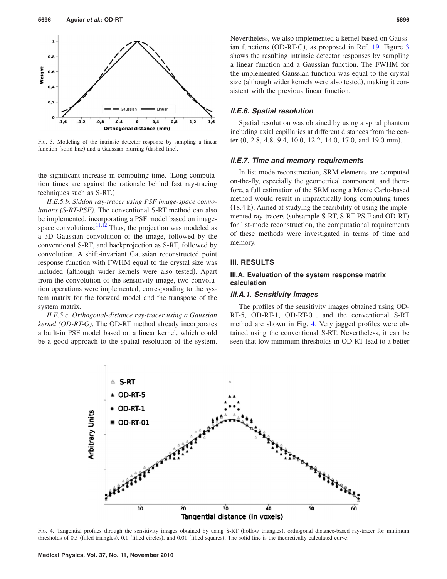<span id="page-5-0"></span>

FIG. 3. Modeling of the intrinsic detector response by sampling a linear function (solid line) and a Gaussian blurring (dashed line).

the significant increase in computing time. Long computation times are against the rationale behind fast ray-tracing techniques such as S-RT.)

*II.E.5.b. Siddon ray-tracer using PSF image-space convolutions (S-RT-PSF)*. The conventional S-RT method can also be implemented, incorporating a PSF model based on imagespace convolutions. $11,12$  $11,12$  Thus, the projection was modeled as a 3D Gaussian convolution of the image, followed by the conventional S-RT, and backprojection as S-RT, followed by convolution. A shift-invariant Gaussian reconstructed point response function with FWHM equal to the crystal size was included (although wider kernels were also tested). Apart from the convolution of the sensitivity image, two convolution operations were implemented, corresponding to the system matrix for the forward model and the transpose of the system matrix.

*II.E.5.c. Orthogonal-distance ray-tracer using a Gaussian kernel (OD-RT-G)*. The OD-RT method already incorporates a built-in PSF model based on a linear kernel, which could be a good approach to the spatial resolution of the system.

# *II.E.6. Spatial resolution*

Spatial resolution was obtained by using a spiral phantom including axial capillaries at different distances from the center (0, 2.8, 4.8, 9.4, 10.0, 12.2, 14.0, 17.0, and 19.0 mm).

# *II.E.7. Time and memory requirements*

In list-mode reconstruction, SRM elements are computed on-the-fly, especially the geometrical component, and therefore, a full estimation of the SRM using a Monte Carlo-based method would result in impractically long computing times (18.4 h). Aimed at studying the feasibility of using the implemented ray-tracers (subsample S-RT, S-RT-PS,F and OD-RT) for list-mode reconstruction, the computational requirements of these methods were investigated in terms of time and memory.

#### **III. RESULTS**

## **III.A. Evaluation of the system response matrix calculation**

#### *III.A.1. Sensitivity images*

The profiles of the sensitivity images obtained using OD-RT-5, OD-RT-1, OD-RT-01, and the conventional S-RT method are shown in Fig. [4.](#page-5-1) Very jagged profiles were obtained using the conventional S-RT. Nevertheless, it can be seen that low minimum thresholds in OD-RT lead to a better

<span id="page-5-1"></span>

FIG. 4. Tangential profiles through the sensitivity images obtained by using S-RT (hollow triangles), orthogonal distance-based ray-tracer for minimum thresholds of 0.5 (filled triangles), 0.1 (filled circles), and 0.01 (filled squares). The solid line is the theoretically calculated curve.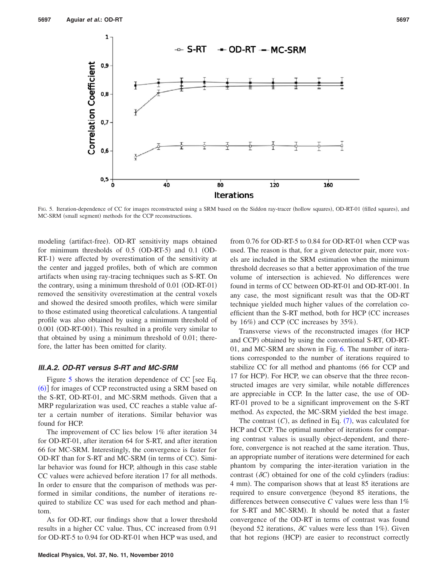<span id="page-6-0"></span>

FIG. 5. Iteration-dependence of CC for images reconstructed using a SRM based on the Siddon ray-tracer (hollow squares), OD-RT-01 (filled squares), and MC-SRM (small segment) methods for the CCP reconstructions.

modeling (artifact-free). OD-RT sensitivity maps obtained for minimum thresholds of 0.5 (OD-RT-5) and 0.1 (OD-RT-1) were affected by overestimation of the sensitivity at the center and jagged profiles, both of which are common artifacts when using ray-tracing techniques such as S-RT. On the contrary, using a minimum threshold of 0.01 (OD-RT-01) removed the sensitivity overestimation at the central voxels and showed the desired smooth profiles, which were similar to those estimated using theoretical calculations. A tangential profile was also obtained by using a minimum threshold of 0.001 (OD-RT-001). This resulted in a profile very similar to that obtained by using a minimum threshold of 0.01; therefore, the latter has been omitted for clarity.

#### *III.A.2. OD-RT versus S-RT and MC-SRM*

Figure [5](#page-6-0) shows the iteration dependence of CC [see Eq. ([6](#page-4-0))] for images of CCP reconstructed using a SRM based on the S-RT, OD-RT-01, and MC-SRM methods. Given that a MRP regularization was used, CC reaches a stable value after a certain number of iterations. Similar behavior was found for HCP.

The improvement of CC lies below 1% after iteration 34 for OD-RT-01, after iteration 64 for S-RT, and after iteration 66 for MC-SRM. Interestingly, the convergence is faster for OD-RT than for S-RT and MC-SRM (in terms of CC). Similar behavior was found for HCP, although in this case stable CC values were achieved before iteration 17 for all methods. In order to ensure that the comparison of methods was performed in similar conditions, the number of iterations required to stabilize CC was used for each method and phantom.

As for OD-RT, our findings show that a lower threshold results in a higher CC value. Thus, CC increased from 0.91 for OD-RT-5 to 0.94 for OD-RT-01 when HCP was used, and from 0.76 for OD-RT-5 to 0.84 for OD-RT-01 when CCP was used. The reason is that, for a given detector pair, more voxels are included in the SRM estimation when the minimum threshold decreases so that a better approximation of the true volume of intersection is achieved. No differences were found in terms of CC between OD-RT-01 and OD-RT-001. In any case, the most significant result was that the OD-RT technique yielded much higher values of the correlation coefficient than the S-RT method, both for HCP (CC increases by  $16\%$ ) and CCP (CC increases by  $35\%$ ).

Transverse views of the reconstructed images for HCP and CCP) obtained by using the conventional S-RT, OD-RT-01, and MC-SRM are shown in Fig. [6.](#page-7-0) The number of iterations corresponded to the number of iterations required to stabilize CC for all method and phantoms (66 for CCP and 17 for HCP). For HCP, we can observe that the three reconstructed images are very similar, while notable differences are appreciable in CCP. In the latter case, the use of OD-RT-01 proved to be a significant improvement on the S-RT method. As expected, the MC-SRM yielded the best image.

The contrast  $(C)$ , as defined in Eq.  $(7)$  $(7)$  $(7)$ , was calculated for HCP and CCP. The optimal number of iterations for comparing contrast values is usually object-dependent, and therefore, convergence is not reached at the same iteration. Thus, an appropriate number of iterations were determined for each phantom by comparing the inter-iteration variation in the contrast  $(\delta C)$  obtained for one of the cold cylinders (radius: 4 mm). The comparison shows that at least 85 iterations are required to ensure convergence beyond 85 iterations, the differences between consecutive *C* values were less than 1% for S-RT and MC-SRM). It should be noted that a faster convergence of the OD-RT in terms of contrast was found (beyond 52 iterations,  $\delta C$  values were less than 1%). Given that hot regions (HCP) are easier to reconstruct correctly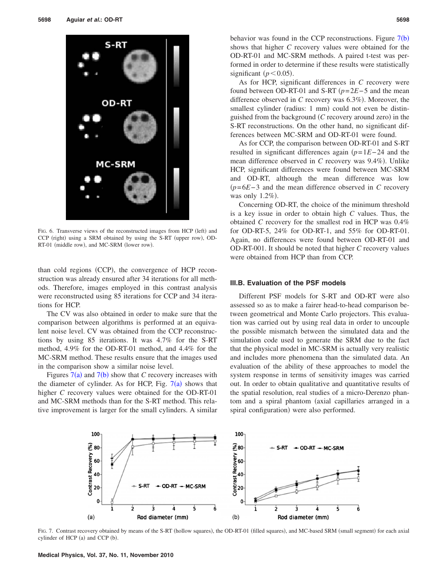<span id="page-7-0"></span>

FIG. 6. Transverse views of the reconstructed images from HCP (left) and CCP (right) using a SRM obtained by using the S-RT (upper row), OD-RT-01 (middle row), and MC-SRM (lower row).

than cold regions (CCP), the convergence of HCP reconstruction was already ensured after 34 iterations for all methods. Therefore, images employed in this contrast analysis were reconstructed using 85 iterations for CCP and 34 iterations for HCP.

The CV was also obtained in order to make sure that the comparison between algorithms is performed at an equivalent noise level. CV was obtained from the CCP reconstructions by using 85 iterations. It was 4.7% for the S-RT method, 4.9% for the OD-RT-01 method, and 4.4% for the MC-SRM method. These results ensure that the images used in the comparison show a similar noise level.

Figures  $7(a)$  $7(a)$  and  $7(b)$  show that *C* recovery increases with the diameter of cylinder. As for HCP, Fig.  $7(a)$  $7(a)$  shows that higher *C* recovery values were obtained for the OD-RT-01 and MC-SRM methods than for the S-RT method. This relative improvement is larger for the small cylinders. A similar

behavior was found in the CCP reconstructions. Figure  $7(b)$  $7(b)$ shows that higher *C* recovery values were obtained for the OD-RT-01 and MC-SRM methods. A paired t-test was performed in order to determine if these results were statistically significant  $(p<0.05)$ .

As for HCP, significant differences in *C* recovery were found between OD-RT-01 and S-RT *p*=2*E*−5 and the mean difference observed in C recovery was 6.3%). Moreover, the smallest cylinder (radius: 1 mm) could not even be distinguished from the background (C recovery around zero) in the S-RT reconstructions. On the other hand, no significant differences between MC-SRM and OD-RT-01 were found.

As for CCP, the comparison between OD-RT-01 and S-RT resulted in significant differences again *p*=1*E*−24 and the mean difference observed in *C* recovery was 9.4%). Unlike HCP, significant differences were found between MC-SRM and OD-RT, although the mean difference was low *p*=6*E*−3 and the mean difference observed in *C* recovery was only  $1.2\%$ ).

Concerning OD-RT, the choice of the minimum threshold is a key issue in order to obtain high *C* values. Thus, the obtained *C* recovery for the smallest rod in HCP was 0.4% for OD-RT-5, 24% for OD-RT-1, and 55% for OD-RT-01. Again, no differences were found between OD-RT-01 and OD-RT-001. It should be noted that higher *C* recovery values were obtained from HCP than from CCP.

#### **III.B. Evaluation of the PSF models**

Different PSF models for S-RT and OD-RT were also assessed so as to make a fairer head-to-head comparison between geometrical and Monte Carlo projectors. This evaluation was carried out by using real data in order to uncouple the possible mismatch between the simulated data and the simulation code used to generate the SRM due to the fact that the physical model in MC-SRM is actually very realistic and includes more phenomena than the simulated data. An evaluation of the ability of these approaches to model the system response in terms of sensitivity images was carried out. In order to obtain qualitative and quantitative results of the spatial resolution, real studies of a micro-Derenzo phantom and a spiral phantom (axial capillaries arranged in a spiral configuration) were also performed.

<span id="page-7-1"></span>

FIG. 7. Contrast recovery obtained by means of the S-RT (hollow squares), the OD-RT-01 (filled squares), and MC-based SRM (small segment) for each axial cylinder of HCP (a) and CCP (b).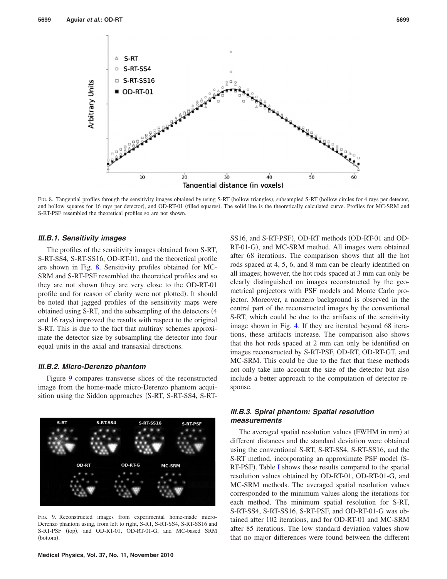<span id="page-8-0"></span>

FIG. 8. Tangential profiles through the sensitivity images obtained by using S-RT (hollow triangles), subsampled S-RT (hollow circles for 4 rays per detector, and hollow squares for 16 rays per detector), and OD-RT-01 (filled squares). The solid line is the theoretically calculated curve. Profiles for MC-SRM and S-RT-PSF resembled the theoretical profiles so are not shown.

#### *III.B.1. Sensitivity images*

The profiles of the sensitivity images obtained from S-RT, S-RT-SS4, S-RT-SS16, OD-RT-01, and the theoretical profile are shown in Fig. [8.](#page-8-0) Sensitivity profiles obtained for MC-SRM and S-RT-PSF resembled the theoretical profiles and so they are not shown (they are very close to the OD-RT-01 profile and for reason of clarity were not plotted). It should be noted that jagged profiles of the sensitivity maps were obtained using S-RT, and the subsampling of the detectors 4 and 16 rays) improved the results with respect to the original S-RT. This is due to the fact that multiray schemes approximate the detector size by subsampling the detector into four equal units in the axial and transaxial directions.

## *III.B.2. Micro-Derenzo phantom*

Figure [9](#page-8-1) compares transverse slices of the reconstructed image from the home-made micro-Derenzo phantom acquisition using the Siddon approaches (S-RT, S-RT-SS4, S-RT-

<span id="page-8-1"></span>

FIG. 9. Reconstructed images from experimental home-made micro-Derenzo phantom using, from left to right, S-RT, S-RT-SS4, S-RT-SS16 and S-RT-PSF (top), and OD-RT-01, OD-RT-01-G, and MC-based SRM (bottom).

SS16, and S-RT-PSF), OD-RT methods (OD-RT-01 and OD-RT-01-G), and MC-SRM method. All images were obtained after 68 iterations. The comparison shows that all the hot rods spaced at 4, 5, 6, and 8 mm can be clearly identified on all images; however, the hot rods spaced at 3 mm can only be clearly distinguished on images reconstructed by the geometrical projectors with PSF models and Monte Carlo projector. Moreover, a nonzero background is observed in the central part of the reconstructed images by the conventional S-RT, which could be due to the artifacts of the sensitivity image shown in Fig. [4.](#page-5-1) If they are iterated beyond 68 iterations, these artifacts increase. The comparison also shows that the hot rods spaced at 2 mm can only be identified on images reconstructed by S-RT-PSF, OD-RT, OD-RT-GT, and MC-SRM. This could be due to the fact that these methods not only take into account the size of the detector but also include a better approach to the computation of detector response.

# *III.B.3. Spiral phantom: Spatial resolution measurements*

The averaged spatial resolution values (FWHM in mm) at different distances and the standard deviation were obtained using the conventional S-RT, S-RT-SS4, S-RT-SS16, and the S-RT method, incorporating an approximate PSF model (S-RT-PSF). Table [I](#page-9-0) shows these results compared to the spatial resolution values obtained by OD-RT-01, OD-RT-01-G, and MC-SRM methods. The averaged spatial resolution values corresponded to the minimum values along the iterations for each method. The minimum spatial resolution for S-RT, S-RT-SS4, S-RT-SS16, S-RT-PSF, and OD-RT-01-G was obtained after 102 iterations, and for OD-RT-01 and MC-SRM after 85 iterations. The low standard deviation values show that no major differences were found between the different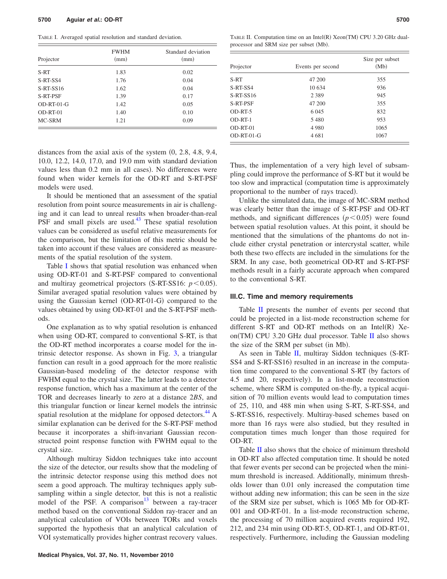<span id="page-9-0"></span>TABLE I. Averaged spatial resolution and standard deviation.

| Projector    | <b>FWHM</b><br>(mm) | Standard deviation<br>(mm) |
|--------------|---------------------|----------------------------|
| S-RT         | 1.83                | 0.02                       |
| S-RT-SS4     | 1.76                | 0.04                       |
| $S-RT-SS16$  | 1.62                | 0.04                       |
| S-RT-PSF     | 1.39                | 0.17                       |
| $OD-RT-01-G$ | 1.42                | 0.05                       |
| $OD-RT-01$   | 1.40                | 0.10                       |
| MC-SRM       | 1.21                | 0.09                       |

distances from the axial axis of the system  $(0, 2.8, 4.8, 9.4,$ 10.0, 12.2, 14.0, 17.0, and 19.0 mm with standard deviation values less than 0.2 mm in all cases). No differences were found when wider kernels for the OD-RT and S-RT-PSF models were used.

It should be mentioned that an assessment of the spatial resolution from point source measurements in air is challenging and it can lead to unreal results when broader-than-real PSF and small pixels are used.<sup>43</sup> These spatial resolution values can be considered as useful relative measurements for the comparison, but the limitation of this metric should be taken into account if these values are considered as measurements of the spatial resolution of the system.

Table [I](#page-9-0) shows that spatial resolution was enhanced when using OD-RT-01 and S-RT-PSF compared to conventional and multiray geometrical projectors (S-RT-SS16:  $p < 0.05$ ). Similar averaged spatial resolution values were obtained by using the Gaussian kernel (OD-RT-01-G) compared to the values obtained by using OD-RT-01 and the S-RT-PSF methods.

One explanation as to why spatial resolution is enhanced when using OD-RT, compared to conventional S-RT, is that the OD-RT method incorporates a coarse model for the intrinsic detector response. As shown in Fig. [3,](#page-5-0) a triangular function can result in a good approach for the more realistic Gaussian-based modeling of the detector response with FWHM equal to the crystal size. The latter leads to a detector response function, which has a maximum at the center of the TOR and decreases linearly to zero at a distance 2*BS*, and this triangular function or linear kernel models the intrinsic spatial resolution at the midplane for opposed detectors.<sup>44</sup> A similar explanation can be derived for the S-RT-PSF method because it incorporates a shift-invariant Gaussian reconstructed point response function with FWHM equal to the crystal size.

Although multiray Siddon techniques take into account the size of the detector, our results show that the modeling of the intrinsic detector response using this method does not seem a good approach. The multiray techniques apply subsampling within a single detector, but this is not a realistic model of the PSF. A comparison<sup>13</sup> between a ray-tracer method based on the conventional Siddon ray-tracer and an analytical calculation of VOIs between TORs and voxels supported the hypothesis that an analytical calculation of VOI systematically provides higher contrast recovery values.

<span id="page-9-1"></span>TABLE II. Computation time on an Intel(R) Xeon(TM) CPU 3.20 GHz dualprocessor and SRM size per subset (Mb).

| Projector       | Events per second | Size per subset<br>(Mb) |
|-----------------|-------------------|-------------------------|
| S-RT            | 47 200            | 355                     |
| S-RT-SS4        | 10 634            | 936                     |
| $S-RT-SS16$     | 2 3 8 9           | 945                     |
| <b>S-RT-PSF</b> | 47 200            | 355                     |
| OD-RT-5         | 6 0 4 5           | 832                     |
| OD-RT-1         | 5480              | 953                     |
| OD-RT-01        | 4 9 8 0           | 1065                    |
| $OD-RT-01-G$    | 4681              | 1067                    |

Thus, the implementation of a very high level of subsampling could improve the performance of S-RT but it would be too slow and impractical computation time is approximately proportional to the number of rays traced).

Unlike the simulated data, the image of MC-SRM method was clearly better than the image of S-RT-PSF and OD-RT methods, and significant differences  $(p<0.05)$  were found between spatial resolution values. At this point, it should be mentioned that the simulations of the phantoms do not include either crystal penetration or intercrystal scatter, while both these two effects are included in the simulations for the SRM. In any case, both geometrical OD-RT and S-RT-PSF methods result in a fairly accurate approach when compared to the conventional S-RT.

#### **III.C. Time and memory requirements**

Table [II](#page-9-1) presents the number of events per second that could be projected in a list-mode reconstruction scheme for different S-RT and OD-RT methods on an Intel $(R)$  Xe-on(TM) CPU 3.20 GHz dual processor. Table [II](#page-9-1) also shows the size of the SRM per subset (in Mb).

As seen in Table [II,](#page-9-1) multiray Siddon techniques  $(S-RT-$ SS4 and S-RT-SS16) resulted in an increase in the computation time compared to the conventional S-RT (by factors of 4.5 and 20, respectively). In a list-mode reconstruction scheme, where SRM is computed on-the-fly, a typical acquisition of 70 million events would lead to computation times of 25, 110, and 488 min when using S-RT, S-RT-SS4, and S-RT-SS16, respectively. Multiray-based schemes based on more than 16 rays were also studied, but they resulted in computation times much longer than those required for OD-RT.

Table [II](#page-9-1) also shows that the choice of minimum threshold in OD-RT also affected computation time. It should be noted that fewer events per second can be projected when the minimum threshold is increased. Additionally, minimum thresholds lower than 0.01 only increased the computation time without adding new information; this can be seen in the size of the SRM size per subset, which is 1065 Mb for OD-RT-001 and OD-RT-01. In a list-mode reconstruction scheme, the processing of 70 million acquired events required 192, 212, and 234 min using OD-RT-5, OD-RT-1, and OD-RT-01, respectively. Furthermore, including the Gaussian modeling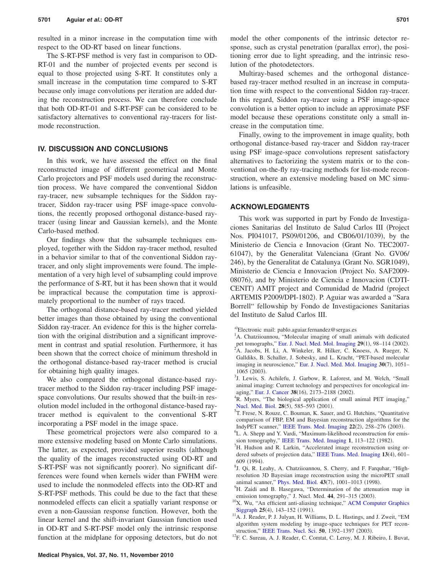resulted in a minor increase in the computation time with respect to the OD-RT based on linear functions.

The S-RT-PSF method is very fast in comparison to OD-RT-01 and the number of projected events per second is equal to those projected using S-RT. It constitutes only a small increase in the computation time compared to S-RT because only image convolutions per iteration are added during the reconstruction process. We can therefore conclude that both OD-RT-01 and S-RT-PSF can be considered to be satisfactory alternatives to conventional ray-tracers for listmode reconstruction.

# **IV. DISCUSSION AND CONCLUSIONS**

In this work, we have assessed the effect on the final reconstructed image of different geometrical and Monte Carlo projectors and PSF models used during the reconstruction process. We have compared the conventional Siddon ray-tracer, new subsample techniques for the Siddon raytracer, Siddon ray-tracer using PSF image-space convolutions, the recently proposed orthogonal distance-based raytracer (using linear and Gaussian kernels), and the Monte Carlo-based method.

Our findings show that the subsample techniques employed, together with the Siddon ray-tracer method, resulted in a behavior similar to that of the conventional Siddon raytracer, and only slight improvements were found. The implementation of a very high level of subsampling could improve the performance of S-RT, but it has been shown that it would be impractical because the computation time is approximately proportional to the number of rays traced.

The orthogonal distance-based ray-tracer method yielded better images than those obtained by using the conventional Siddon ray-tracer. An evidence for this is the higher correlation with the original distribution and a significant improvement in contrast and spatial resolution. Furthermore, it has been shown that the correct choice of minimum threshold in the orthogonal distance-based ray-tracer method is crucial for obtaining high quality images.

We also compared the orthogonal distance-based raytracer method to the Siddon ray-tracer including PSF imagespace convolutions. Our results showed that the built-in resolution model included in the orthogonal distance-based raytracer method is equivalent to the conventional S-RT incorporating a PSF model in the image space.

These geometrical projectors were also compared to a more extensive modeling based on Monte Carlo simulations. The latter, as expected, provided superior results (although the quality of the images reconstructed using OD-RT and S-RT-PSF was not significantly poorer). No significant differences were found when kernels wider than FWHM were used to include the nonmodeled effects into the OD-RT and S-RT-PSF methods. This could be due to the fact that these nonmodeled effects can elicit a spatially variant response or even a non-Gaussian response function. However, both the linear kernel and the shift-invariant Gaussian function used in OD-RT and S-RT-PSF model only the intrinsic response function at the midplane for opposing detectors, but do not

model the other components of the intrinsic detector response, such as crystal penetration (parallax error), the positioning error due to light spreading, and the intrinsic resolution of the photodetectors.

Multiray-based schemes and the orthogonal distancebased ray-tracer method resulted in an increase in computation time with respect to the conventional Siddon ray-tracer. In this regard, Siddon ray-tracer using a PSF image-space convolution is a better option to include an approximate PSF model because these operations constitute only a small increase in the computation time.

Finally, owing to the improvement in image quality, both orthogonal distance-based ray-tracer and Siddon ray-tracer using PSF image-space convolutions represent satisfactory alternatives to factorizing the system matrix or to the conventional on-the-fly ray-tracing methods for list-mode reconstruction, where an extensive modeling based on MC simulations is unfeasible.

## **ACKNOWLEDGMENTS**

This work was supported in part by Fondo de Investigaciones Sanitarias del Instituto de Salud Carlos III (Project Nos. PI041017, PS09/01206, and CB06/01/1039), by the Ministerio de Ciencia e Innovacion Grant No. TEC2007- 61047), by the Generalitat Valenciana (Grant No. GV06/ 246), by the Generalitat de Catalunya (Grant No. SGR1049), Ministerio de Ciencia e Innovacion (Project No. SAF2009-08076), and by Ministerio de Ciencia e Innovacion (CDTI-CENIT) AMIT project and Comunidad de Madrid (project ARTEMIS P2009/DPI-1802). P. Aguiar was awarded a "Sara Borrell" fellowship by Fondo de Investigaciones Sanitarias del Instituto de Salud Carlos III.

- <span id="page-10-1"></span><sup>1</sup>A. Chatziioannou, "Molecular imaging of small animals with dedicated
- pet tomographs," [Eur. J. Nucl. Med. Mol. Imaging](http://dx.doi.org/10.1007/s00259-001-0683-3) 29(1), 98-114 (2002).<br><sup>2</sup>A. Jacobs, H. Li, A. Winkeler, R. Hilker, C. Knoess, A. Rueger, N. Galldiks, B. Schaller, J. Sobesky, and L. Kracht, "PET-based molecular imaging in neuroscience," [Eur. J. Nucl. Med. Mol. Imaging](http://dx.doi.org/10.1007/s00259-003-1202-5) 30(7), 1051- $1065$  (2003).
- <sup>3</sup>J. Lewis, S. Achilefu, J. Garbow, R. Laforest, and M. Welch, "Small animal imaging: Current technology and perspectives for oncological im-aging," [Eur. J. Cancer](http://dx.doi.org/10.1016/S0959-8049(02)00394-5) **38**(16), 2173–2188 (2002).
- <span id="page-10-2"></span><sup>4</sup>R. Myers, "The biological application of small animal PET imaging," [Nucl. Med. Biol.](http://dx.doi.org/10.1016/S0969-8051(01)00213-X) 28(5), 585–593 (2001).<br><sup>5</sup>T Free N Boyse C Boyman K Souer
- <span id="page-10-3"></span><sup>5</sup>T. Frese, N. Rouze, C. Bouman, K. Sauer, and G. Hutchins, "Quantitative comparison of FBP, EM and Bayesian reconstruction algorithms for the IndyPET scanner," [IEEE Trans. Med. Imaging](http://dx.doi.org/10.1109/TMI.2002.808353)  $22(2)$ ,  $258-276$  (2003).
- <span id="page-10-4"></span><sup>6</sup>L. A. Shepp and Y. Vardi, "Maximum-likelihood reconstruction for emis-sion tomography," [IEEE Trans. Med. Imaging](http://dx.doi.org/10.1109/TMI.1982.4307558)  $\overline{1}$ , 113–122 (1982).
- <span id="page-10-5"></span><sup>7</sup>H. Hudson and R. Larkin, "Accelerated image reconstruction using or-dered subsets of projection data," [IEEE Trans. Med. Imaging](http://dx.doi.org/10.1109/42.363108) 13(4), 601- $609(1994).$ <sup>8</sup>L Q<sub>3</sub> R<sub>1</sub>
- <span id="page-10-6"></span><sup>8</sup>J. Qi, R. Leahy, A. Chatziioannou, S. Cherry, and F. Farquhar, "Highresolution 3D Bayesian image reconstruction using the microPET small animal scanner," [Phys. Med. Biol.](http://dx.doi.org/10.1088/0031-9155/43/4/027)  $43(7)$ ,  $1001-1013$  (1998).

<span id="page-10-0"></span>a)Electronic mail: pablo.aguiar.fernandez@sergas.es

<span id="page-10-7"></span><sup>&</sup>lt;sup>9</sup>H. Zaidi and B. Hasegawa, "Determination of the attenuation map in emission tomography," J. Nucl. Med. 44, 291–315 (2003).

<span id="page-10-8"></span><sup>&</sup>lt;sup>10</sup>X. Wu, "An efficient anti-aliasing technique," [ACM Computer Graphics](http://dx.doi.org/10.1145/127719.122734) [Siggraph](http://dx.doi.org/10.1145/127719.122734) 25(4), 143-152 (1991)

<span id="page-10-9"></span><sup>&</sup>lt;sup>11</sup>A. J. Reader, P. J. Julyan, H. Williams, D. L. Hastings, and J. Zweit, "EM algorithm system modeling by image-space techniques for PET recon-struction," [IEEE Trans. Nucl. Sci.](http://dx.doi.org/10.1109/TNS.2003.817327) 50, 1392-1397 (2003).

<span id="page-10-10"></span><sup>&</sup>lt;sup>12</sup>F. C. Sureau, A. J. Reader, C. Comtat, C. Leroy, M. J. Ribeiro, I. Buvat,